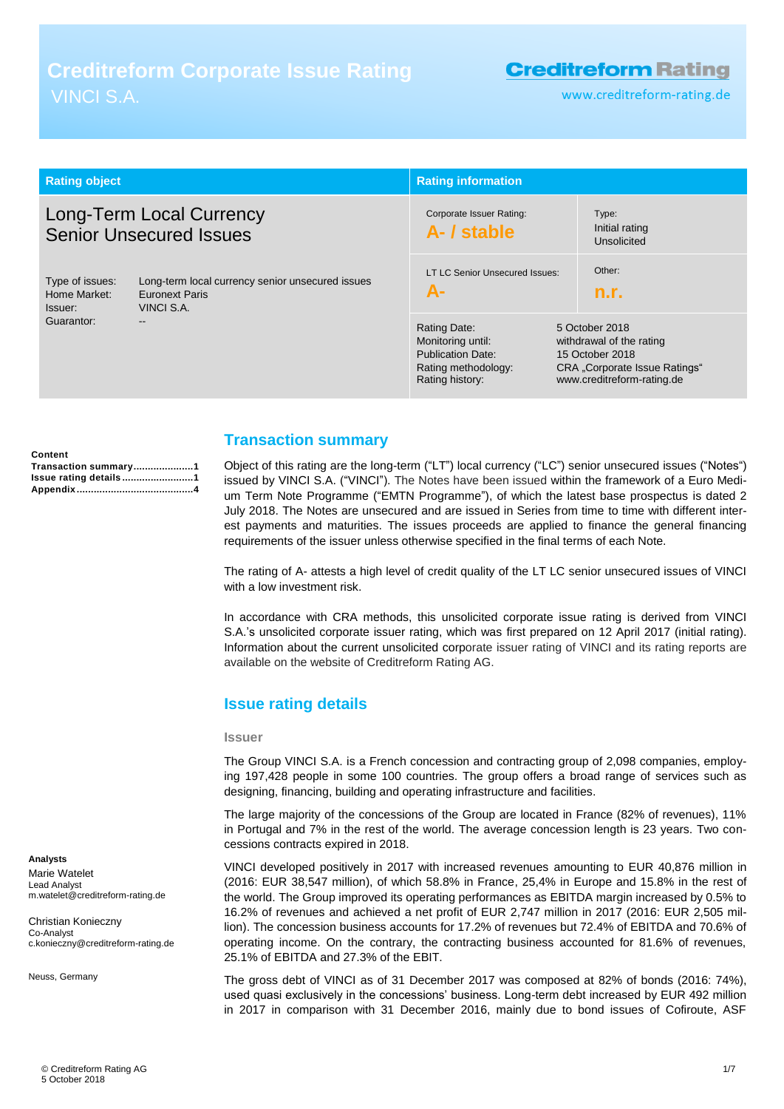# **Creditreform Corporate Issue Rating** VINCI S.A.

# **Creditreform Rating**

www.creditreform-rating.de

| <b>Rating object</b>                                     |                                                                                                                                                                | <b>Rating information</b>                                                                                                                               |                                                                                                                           |
|----------------------------------------------------------|----------------------------------------------------------------------------------------------------------------------------------------------------------------|---------------------------------------------------------------------------------------------------------------------------------------------------------|---------------------------------------------------------------------------------------------------------------------------|
| Type of issues:<br>Home Market:<br>Issuer:<br>Guarantor: | Long-Term Local Currency<br><b>Senior Unsecured Issues</b><br>Long-term local currency senior unsecured issues<br><b>Euronext Paris</b><br>VINCI S.A.<br>$- -$ | Corporate Issuer Rating:<br>A- / stable<br>LT LC Senior Unsecured Issues:<br><b>A-</b><br>Rating Date:<br>Monitoring until:<br><b>Publication Date:</b> | Type:<br>Initial rating<br>Unsolicited<br>Other:<br>n.r.<br>5 October 2018<br>withdrawal of the rating<br>15 October 2018 |
|                                                          |                                                                                                                                                                | Rating methodology:<br>Rating history:                                                                                                                  | CRA "Corporate Issue Ratings"<br>www.creditreform-rating.de                                                               |

#### **Content [Transaction summary.....................1](#page-0-0) [Issue rating details](#page-0-1) .........................1 Appendix [.........................................4](#page-3-0)**

# <span id="page-0-0"></span>**Transaction summary**

Object of this rating are the long-term ("LT") local currency ("LC") senior unsecured issues ("Notes") issued by VINCI S.A. ("VINCI"). The Notes have been issued within the framework of a Euro Medium Term Note Programme ("EMTN Programme"), of which the latest base prospectus is dated 2 July 2018. The Notes are unsecured and are issued in Series from time to time with different interest payments and maturities. The issues proceeds are applied to finance the general financing requirements of the issuer unless otherwise specified in the final terms of each Note.

The rating of A- attests a high level of credit quality of the LT LC senior unsecured issues of VINCI with a low investment risk.

In accordance with CRA methods, this unsolicited corporate issue rating is derived from VINCI S.A.'s unsolicited corporate issuer rating, which was first prepared on 12 April 2017 (initial rating). Information about the current unsolicited corporate issuer rating of VINCI and its rating reports are available on the website of Creditreform Rating AG.

## <span id="page-0-1"></span>**Issue rating details**

#### **Issuer**

The Group VINCI S.A. is a French concession and contracting group of 2,098 companies, employing 197,428 people in some 100 countries. The group offers a broad range of services such as designing, financing, building and operating infrastructure and facilities.

The large majority of the concessions of the Group are located in France (82% of revenues), 11% in Portugal and 7% in the rest of the world. The average concession length is 23 years. Two concessions contracts expired in 2018.

VINCI developed positively in 2017 with increased revenues amounting to EUR 40,876 million in (2016: EUR 38,547 million), of which 58.8% in France, 25,4% in Europe and 15.8% in the rest of the world. The Group improved its operating performances as EBITDA margin increased by 0.5% to 16.2% of revenues and achieved a net profit of EUR 2,747 million in 2017 (2016: EUR 2,505 million). The concession business accounts for 17.2% of revenues but 72.4% of EBITDA and 70.6% of operating income. On the contrary, the contracting business accounted for 81.6% of revenues, 25.1% of EBITDA and 27.3% of the EBIT.

The gross debt of VINCI as of 31 December 2017 was composed at 82% of bonds (2016: 74%), used quasi exclusively in the concessions' business. Long-term debt increased by EUR 492 million in 2017 in comparison with 31 December 2016, mainly due to bond issues of Cofiroute, ASF

**Analysts**

Marie Watelet Lead Analyst m.watelet@creditreform-rating.de

Christian Konieczny Co-Analyst c.konieczny@creditreform-rating.de

Neuss, Germany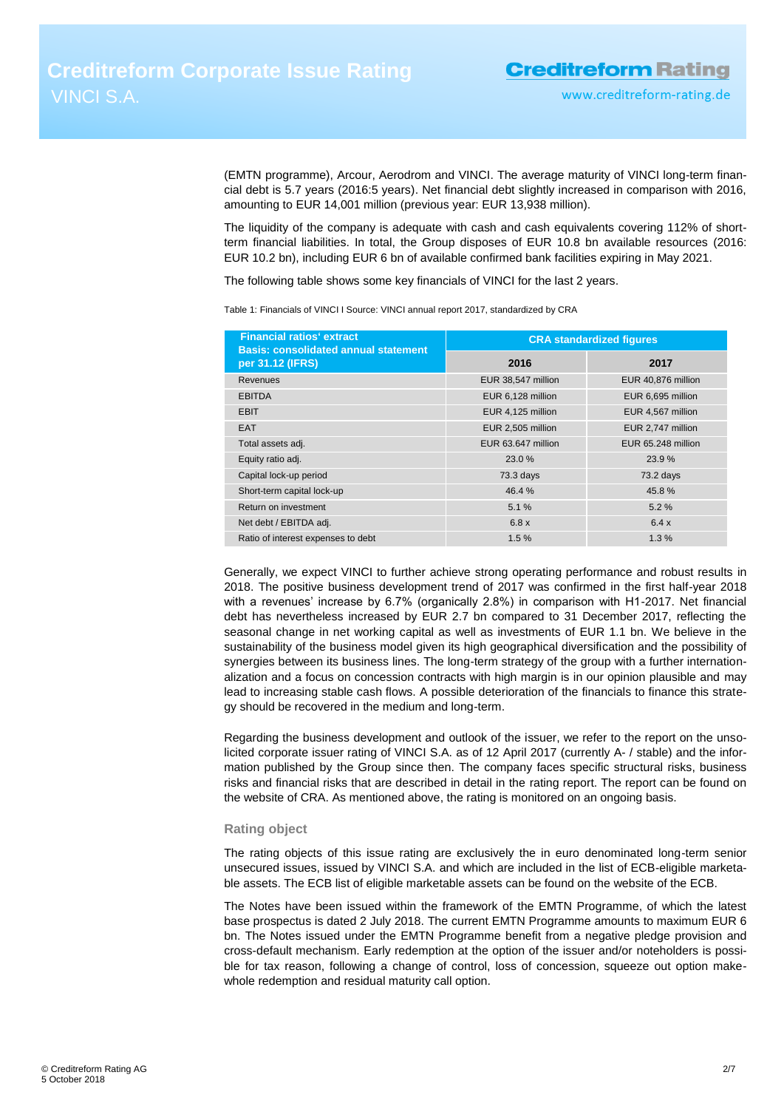(EMTN programme), Arcour, Aerodrom and VINCI. The average maturity of VINCI long-term financial debt is 5.7 years (2016:5 years). Net financial debt slightly increased in comparison with 2016, amounting to EUR 14,001 million (previous year: EUR 13,938 million).

The liquidity of the company is adequate with cash and cash equivalents covering 112% of shortterm financial liabilities. In total, the Group disposes of EUR 10.8 bn available resources (2016: EUR 10.2 bn), including EUR 6 bn of available confirmed bank facilities expiring in May 2021.

The following table shows some key financials of VINCI for the last 2 years.

Table 1: Financials of VINCI I Source: VINCI annual report 2017, standardized by CRA

| <b>Financial ratios' extract</b><br><b>Basis: consolidated annual statement</b> | <b>CRA</b> standardized figures |                    |  |
|---------------------------------------------------------------------------------|---------------------------------|--------------------|--|
| per 31.12 (IFRS)                                                                | 2016                            | 2017               |  |
| Revenues                                                                        | EUR 38,547 million              | EUR 40,876 million |  |
| <b>EBITDA</b>                                                                   | EUR 6,128 million               | EUR 6,695 million  |  |
| <b>EBIT</b>                                                                     | EUR 4,125 million               | EUR 4,567 million  |  |
| <b>EAT</b>                                                                      | EUR 2,505 million               | EUR 2,747 million  |  |
| Total assets adj.                                                               | EUR 63.647 million              | EUR 65.248 million |  |
| Equity ratio adj.                                                               | 23.0 %                          | 23.9%              |  |
| Capital lock-up period                                                          | 73.3 days                       | 73.2 days          |  |
| Short-term capital lock-up                                                      | 46.4 %                          | 45.8%              |  |
| Return on investment                                                            | 5.1%                            | 5.2%               |  |
| Net debt / EBITDA adj.                                                          | 6.8x                            | 6.4x               |  |
| Ratio of interest expenses to debt                                              | 1.5%                            | 1.3%               |  |

Generally, we expect VINCI to further achieve strong operating performance and robust results in 2018. The positive business development trend of 2017 was confirmed in the first half-year 2018 with a revenues' increase by 6.7% (organically 2.8%) in comparison with H1-2017. Net financial debt has nevertheless increased by EUR 2.7 bn compared to 31 December 2017, reflecting the seasonal change in net working capital as well as investments of EUR 1.1 bn. We believe in the sustainability of the business model given its high geographical diversification and the possibility of synergies between its business lines. The long-term strategy of the group with a further internationalization and a focus on concession contracts with high margin is in our opinion plausible and may lead to increasing stable cash flows. A possible deterioration of the financials to finance this strategy should be recovered in the medium and long-term.

Regarding the business development and outlook of the issuer, we refer to the report on the unsolicited corporate issuer rating of VINCI S.A. as of 12 April 2017 (currently A- / stable) and the information published by the Group since then. The company faces specific structural risks, business risks and financial risks that are described in detail in the rating report. The report can be found on the website of CRA. As mentioned above, the rating is monitored on an ongoing basis.

## **Rating object**

The rating objects of this issue rating are exclusively the in euro denominated long-term senior unsecured issues, issued by VINCI S.A. and which are included in the list of ECB-eligible marketable assets. The ECB list of eligible marketable assets can be found on the website of the ECB.

The Notes have been issued within the framework of the EMTN Programme, of which the latest base prospectus is dated 2 July 2018. The current EMTN Programme amounts to maximum EUR 6 bn. The Notes issued under the EMTN Programme benefit from a negative pledge provision and cross-default mechanism. Early redemption at the option of the issuer and/or noteholders is possible for tax reason, following a change of control, loss of concession, squeeze out option makewhole redemption and residual maturity call option.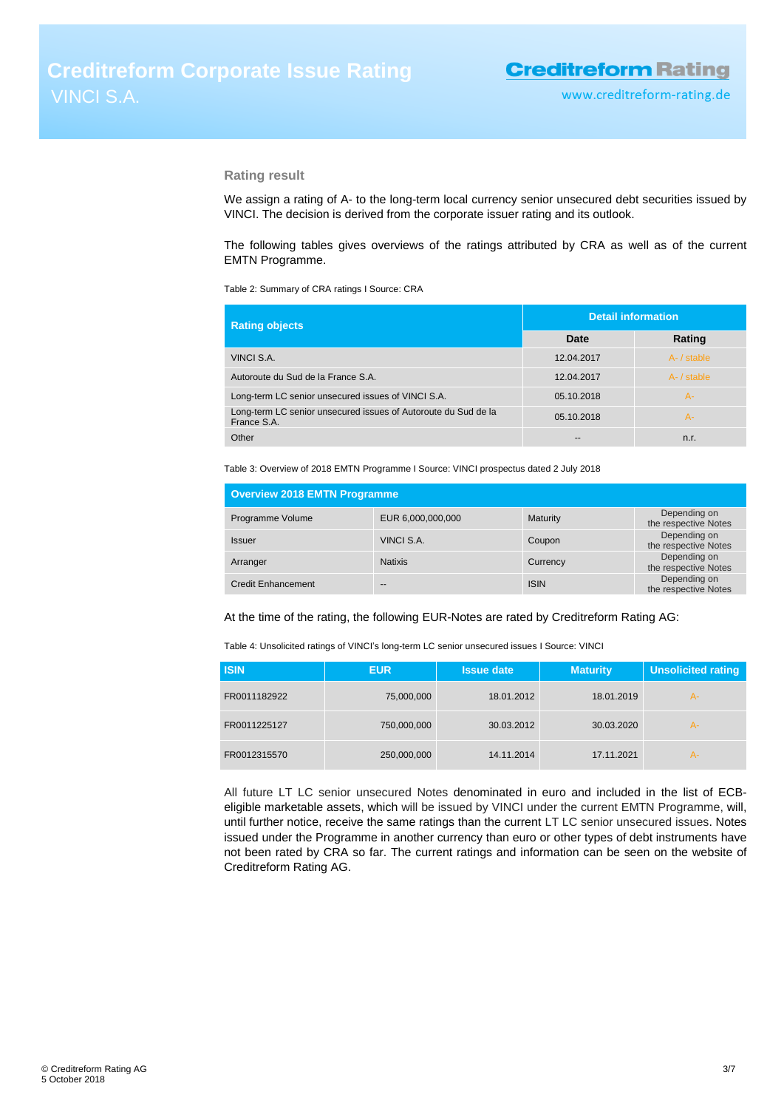#### **Rating result**

We assign a rating of A- to the long-term local currency senior unsecured debt securities issued by VINCI. The decision is derived from the corporate issuer rating and its outlook.

The following tables gives overviews of the ratings attributed by CRA as well as of the current EMTN Programme.

Table 2: Summary of CRA ratings I Source: CRA

| <b>Rating objects</b>                                                         | <b>Detail information</b> |             |
|-------------------------------------------------------------------------------|---------------------------|-------------|
|                                                                               | Date                      | Rating      |
| VINCI S.A.                                                                    | 12.04.2017                | A- / stable |
| Autoroute du Sud de la France S.A.                                            | 12.04.2017                | A- / stable |
| Long-term LC senior unsecured issues of VINCI S.A.                            | 05.10.2018                | $A -$       |
| Long-term LC senior unsecured issues of Autoroute du Sud de la<br>France S.A. | 05.10.2018                | $A -$       |
| Other                                                                         | --                        | n.r.        |

Table 3: Overview of 2018 EMTN Programme I Source: VINCI prospectus dated 2 July 2018

| Overview 2018 EMTN Programme |                   |             |                                      |  |
|------------------------------|-------------------|-------------|--------------------------------------|--|
| Programme Volume             | EUR 6,000,000,000 | Maturity    | Depending on<br>the respective Notes |  |
| <b>Issuer</b>                | VINCI S.A.        | Coupon      | Depending on<br>the respective Notes |  |
| Arranger                     | <b>Natixis</b>    | Currency    | Depending on<br>the respective Notes |  |
| <b>Credit Enhancement</b>    | $-$               | <b>ISIN</b> | Depending on<br>the respective Notes |  |

At the time of the rating, the following EUR-Notes are rated by Creditreform Rating AG:

Table 4: Unsolicited ratings of VINCI's long-term LC senior unsecured issues I Source: VINCI

| <b>ISIN</b>  | <b>EUR</b>  | <b>Issue date</b> | <b>Maturity</b> | <b>Unsolicited rating</b> |
|--------------|-------------|-------------------|-----------------|---------------------------|
| FR0011182922 | 75,000,000  | 18.01.2012        | 18.01.2019      | А-                        |
| FR0011225127 | 750,000,000 | 30.03.2012        | 30.03.2020      | А-                        |
| FR0012315570 | 250,000,000 | 14.11.2014        | 17.11.2021      | А-                        |

All future LT LC senior unsecured Notes denominated in euro and included in the list of ECBeligible marketable assets, which will be issued by VINCI under the current EMTN Programme, will, until further notice, receive the same ratings than the current LT LC senior unsecured issues. Notes issued under the Programme in another currency than euro or other types of debt instruments have not been rated by CRA so far. The current ratings and information can be seen on the website of Creditreform Rating AG.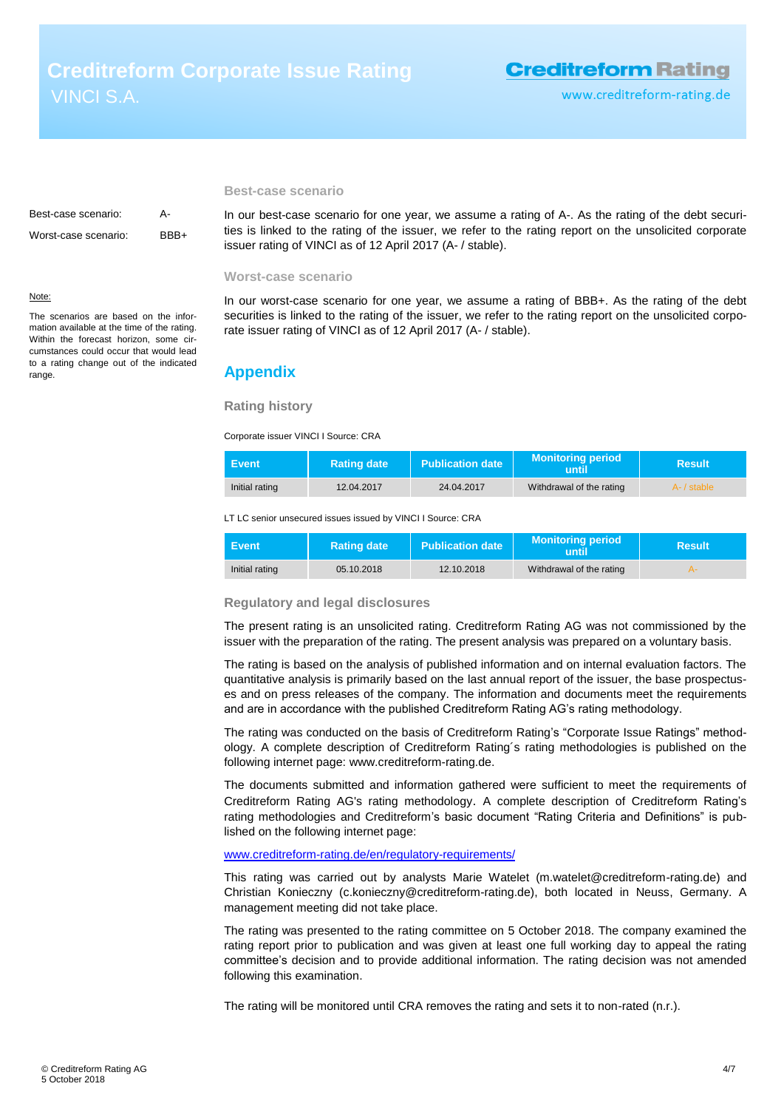# **Creditreform Rating**

#### **Best-case scenario**

| Best-case scenario:  | А-   |
|----------------------|------|
| Worst-case scenario: | BBB+ |

In our best-case scenario for one year, we assume a rating of A-. As the rating of the debt securities is linked to the rating of the issuer, we refer to the rating report on the unsolicited corporate issuer rating of VINCI as of 12 April 2017 (A- / stable).

#### **Worst-case scenario**

In our worst-case scenario for one year, we assume a rating of BBB+. As the rating of the debt securities is linked to the rating of the issuer, we refer to the rating report on the unsolicited corporate issuer rating of VINCI as of 12 April 2017 (A- / stable).

## <span id="page-3-0"></span>**Appendix**

#### **Rating history**

Corporate issuer VINCI I Source: CRA

| Event          | <b>Rating date</b> | <b>Publication date</b> | <b>Monitoring period</b><br>until | Result      |
|----------------|--------------------|-------------------------|-----------------------------------|-------------|
| Initial rating | 12.04.2017         | 24.04.2017              | Withdrawal of the rating          | A- / stable |

LT LC senior unsecured issues issued by VINCI I Source: CRA

| / Event.       | <b>Rating date</b> | <b>Publication date</b> | <b>Monitoring period</b><br>until | <b>Result</b> |
|----------------|--------------------|-------------------------|-----------------------------------|---------------|
| Initial rating | 05.10.2018         | 12.10.2018              | Withdrawal of the rating          |               |

### **Regulatory and legal disclosures**

The present rating is an unsolicited rating. Creditreform Rating AG was not commissioned by the issuer with the preparation of the rating. The present analysis was prepared on a voluntary basis.

The rating is based on the analysis of published information and on internal evaluation factors. The quantitative analysis is primarily based on the last annual report of the issuer, the base prospectuses and on press releases of the company. The information and documents meet the requirements and are in accordance with the published Creditreform Rating AG's rating methodology.

The rating was conducted on the basis of Creditreform Rating's "Corporate Issue Ratings" methodology. A complete description of Creditreform Rating´s rating methodologies is published on the following internet page: www.creditreform-rating.de.

The documents submitted and information gathered were sufficient to meet the requirements of Creditreform Rating AG's rating methodology. A complete description of Creditreform Rating's rating methodologies and Creditreform's basic document "Rating Criteria and Definitions" is published on the following internet page:

### [www.creditreform-rating.de/](http://www.creditreform-rating.de/)en/regulatory-requirements/

This rating was carried out by analysts Marie Watelet (m.watelet@creditreform-rating.de) and Christian Konieczny (c.konieczny@creditreform-rating.de), both located in Neuss, Germany. A management meeting did not take place.

The rating was presented to the rating committee on 5 October 2018. The company examined the rating report prior to publication and was given at least one full working day to appeal the rating committee's decision and to provide additional information. The rating decision was not amended following this examination.

The rating will be monitored until CRA removes the rating and sets it to non-rated (n.r.).

#### Note:

The scenarios are based on the information available at the time of the rating. Within the forecast horizon, some circumstances could occur that would lead to a rating change out of the indicated range.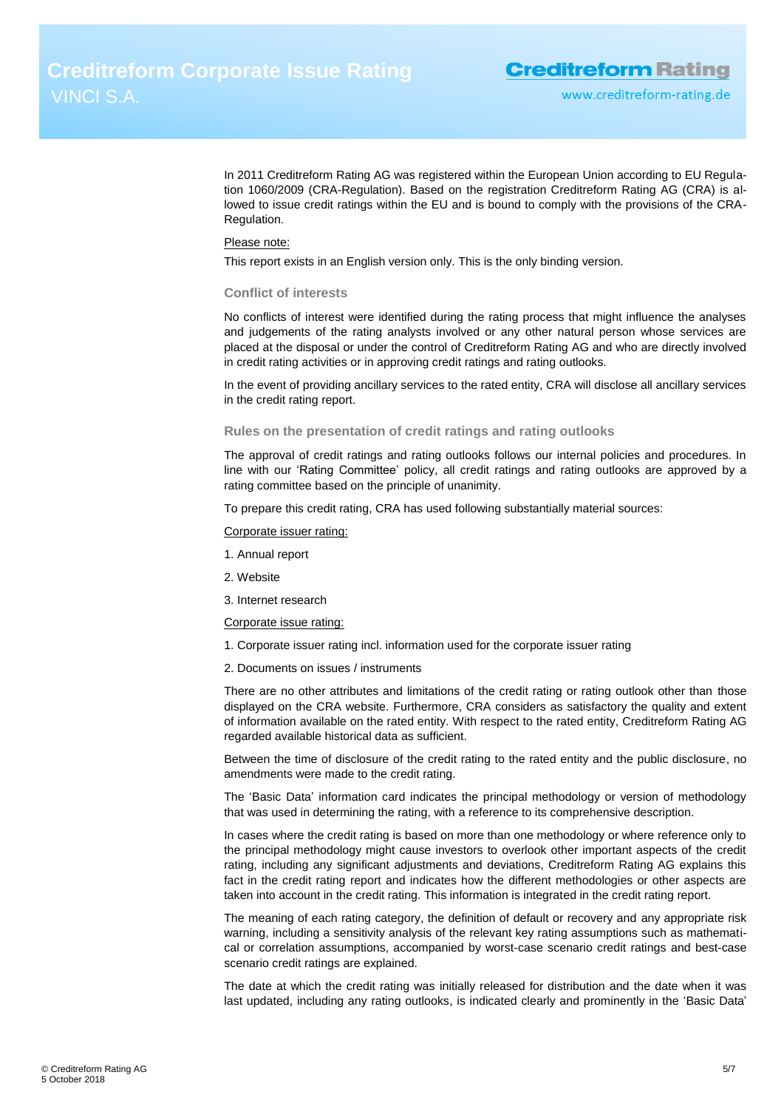In 2011 Creditreform Rating AG was registered within the European Union according to EU Regulation 1060/2009 (CRA-Regulation). Based on the registration Creditreform Rating AG (CRA) is allowed to issue credit ratings within the EU and is bound to comply with the provisions of the CRA-Regulation.

#### Please note:

This report exists in an English version only. This is the only binding version.

#### **Conflict of interests**

No conflicts of interest were identified during the rating process that might influence the analyses and judgements of the rating analysts involved or any other natural person whose services are placed at the disposal or under the control of Creditreform Rating AG and who are directly involved in credit rating activities or in approving credit ratings and rating outlooks.

In the event of providing ancillary services to the rated entity, CRA will disclose all ancillary services in the credit rating report.

#### **Rules on the presentation of credit ratings and rating outlooks**

The approval of credit ratings and rating outlooks follows our internal policies and procedures. In line with our 'Rating Committee' policy, all credit ratings and rating outlooks are approved by a rating committee based on the principle of unanimity.

To prepare this credit rating, CRA has used following substantially material sources:

### Corporate issuer rating:

- 1. Annual report
- 2. Website
- 3. Internet research

#### Corporate issue rating:

- 1. Corporate issuer rating incl. information used for the corporate issuer rating
- 2. Documents on issues / instruments

There are no other attributes and limitations of the credit rating or rating outlook other than those displayed on the CRA website. Furthermore, CRA considers as satisfactory the quality and extent of information available on the rated entity. With respect to the rated entity, Creditreform Rating AG regarded available historical data as sufficient.

Between the time of disclosure of the credit rating to the rated entity and the public disclosure, no amendments were made to the credit rating.

The 'Basic Data' information card indicates the principal methodology or version of methodology that was used in determining the rating, with a reference to its comprehensive description.

In cases where the credit rating is based on more than one methodology or where reference only to the principal methodology might cause investors to overlook other important aspects of the credit rating, including any significant adjustments and deviations, Creditreform Rating AG explains this fact in the credit rating report and indicates how the different methodologies or other aspects are taken into account in the credit rating. This information is integrated in the credit rating report.

The meaning of each rating category, the definition of default or recovery and any appropriate risk warning, including a sensitivity analysis of the relevant key rating assumptions such as mathematical or correlation assumptions, accompanied by worst-case scenario credit ratings and best-case scenario credit ratings are explained.

The date at which the credit rating was initially released for distribution and the date when it was last updated, including any rating outlooks, is indicated clearly and prominently in the 'Basic Data'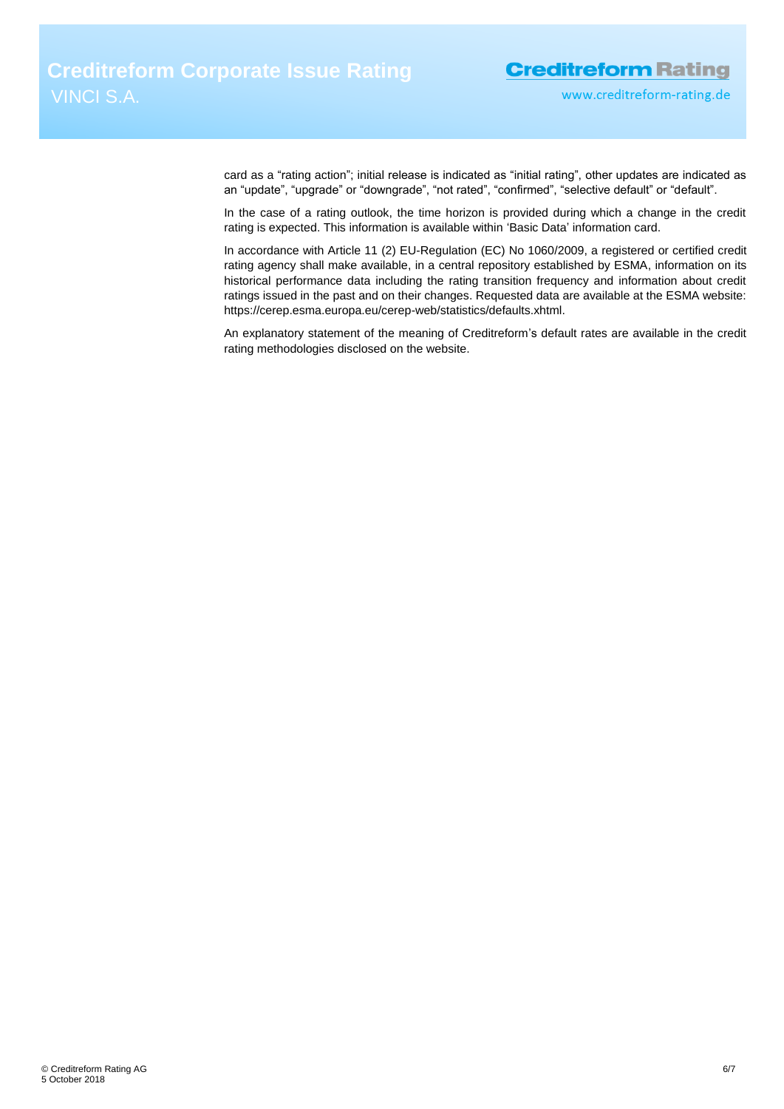www.creditreform-rating.de

card as a "rating action"; initial release is indicated as "initial rating", other updates are indicated as an "update", "upgrade" or "downgrade", "not rated", "confirmed", "selective default" or "default".

In the case of a rating outlook, the time horizon is provided during which a change in the credit rating is expected. This information is available within 'Basic Data' information card.

In accordance with Article 11 (2) EU-Regulation (EC) No 1060/2009, a registered or certified credit rating agency shall make available, in a central repository established by ESMA, information on its historical performance data including the rating transition frequency and information about credit ratings issued in the past and on their changes. Requested data are available at the ESMA website: https://cerep.esma.europa.eu/cerep-web/statistics/defaults.xhtml.

An explanatory statement of the meaning of Creditreform's default rates are available in the credit rating methodologies disclosed on the website.